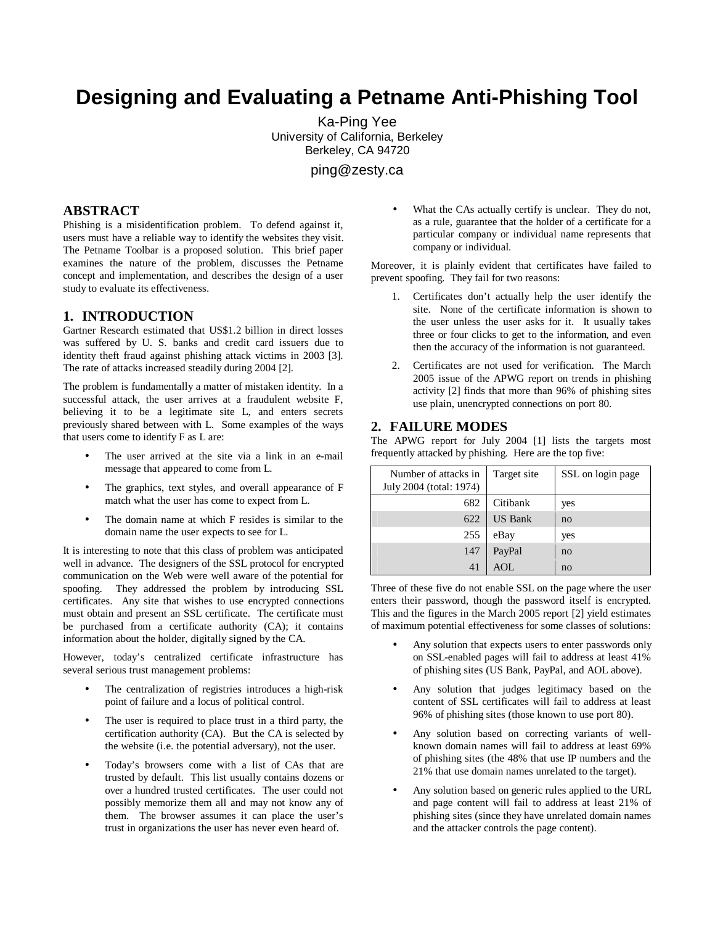# **Designing and Evaluating a Petname Anti-Phishing Tool**

Ka-Ping Yee University of California, Berkeley Berkeley, CA 94720

ping@zesty.ca

### **ABSTRACT**

Phishing is a misidentification problem. To defend against it, users must have a reliable way to identify the websites they visit. The Petname Toolbar is a proposed solution. This brief paper examines the nature of the problem, discusses the Petname concept and implementation, and describes the design of a user study to evaluate its effectiveness.

#### **1. INTRODUCTION**

Gartner Research estimated that US\$1.2 billion in direct losses was suffered by U. S. banks and credit card issuers due to identity theft fraud against phishing attack victims in 2003 [3]. The rate of attacks increased steadily during 2004 [2].

The problem is fundamentally a matter of mistaken identity. In a successful attack, the user arrives at a fraudulent website F, believing it to be a legitimate site L, and enters secrets previously shared between with L. Some examples of the ways that users come to identify F as L are:

- The user arrived at the site via a link in an e-mail message that appeared to come from L.
- The graphics, text styles, and overall appearance of F match what the user has come to expect from L.
- The domain name at which F resides is similar to the domain name the user expects to see for L.

It is interesting to note that this class of problem was anticipated well in advance. The designers of the SSL protocol for encrypted communication on the Web were well aware of the potential for spoofing. They addressed the problem by introducing SSL certificates. Any site that wishes to use encrypted connections must obtain and present an SSL certificate. The certificate must be purchased from a certificate authority (CA); it contains information about the holder, digitally signed by the CA.

However, today's centralized certificate infrastructure has several serious trust management problems:

- The centralization of registries introduces a high-risk point of failure and a locus of political control.
- The user is required to place trust in a third party, the certification authority (CA). But the CA is selected by the website (i.e. the potential adversary), not the user.
- Today's browsers come with a list of CAs that are trusted by default. This list usually contains dozens or over a hundred trusted certificates. The user could not possibly memorize them all and may not know any of them. The browser assumes it can place the user's trust in organizations the user has never even heard of.

What the CAs actually certify is unclear. They do not, as a rule, guarantee that the holder of a certificate for a particular company or individual name represents that company or individual.

Moreover, it is plainly evident that certificates have failed to prevent spoofing. They fail for two reasons:

- 1. Certificates don't actually help the user identify the site. None of the certificate information is shown to the user unless the user asks for it. It usually takes three or four clicks to get to the information, and even then the accuracy of the information is not guaranteed.
- 2. Certificates are not used for verification. The March 2005 issue of the APWG report on trends in phishing activity [2] finds that more than 96% of phishing sites use plain, unencrypted connections on port 80.

#### **2. FAILURE MODES**

The APWG report for July 2004 [1] lists the targets most frequently attacked by phishing. Here are the top five:

| Number of attacks in<br>July 2004 (total: 1974) | Target site    | SSL on login page |
|-------------------------------------------------|----------------|-------------------|
| 682                                             | Citibank       | yes               |
| 622                                             | <b>US Bank</b> | no                |
| 255                                             | eBay           | yes               |
| 147                                             | PayPal         | no                |
| 41                                              | AOL            | no                |

Three of these five do not enable SSL on the page where the user enters their password, though the password itself is encrypted. This and the figures in the March 2005 report [2] yield estimates of maximum potential effectiveness for some classes of solutions:

- Any solution that expects users to enter passwords only on SSL-enabled pages will fail to address at least 41% of phishing sites (US Bank, PayPal, and AOL above).
- Any solution that judges legitimacy based on the content of SSL certificates will fail to address at least 96% of phishing sites (those known to use port 80).
- Any solution based on correcting variants of wellknown domain names will fail to address at least 69% of phishing sites (the 48% that use IP numbers and the 21% that use domain names unrelated to the target).
- Any solution based on generic rules applied to the URL and page content will fail to address at least 21% of phishing sites (since they have unrelated domain names and the attacker controls the page content).